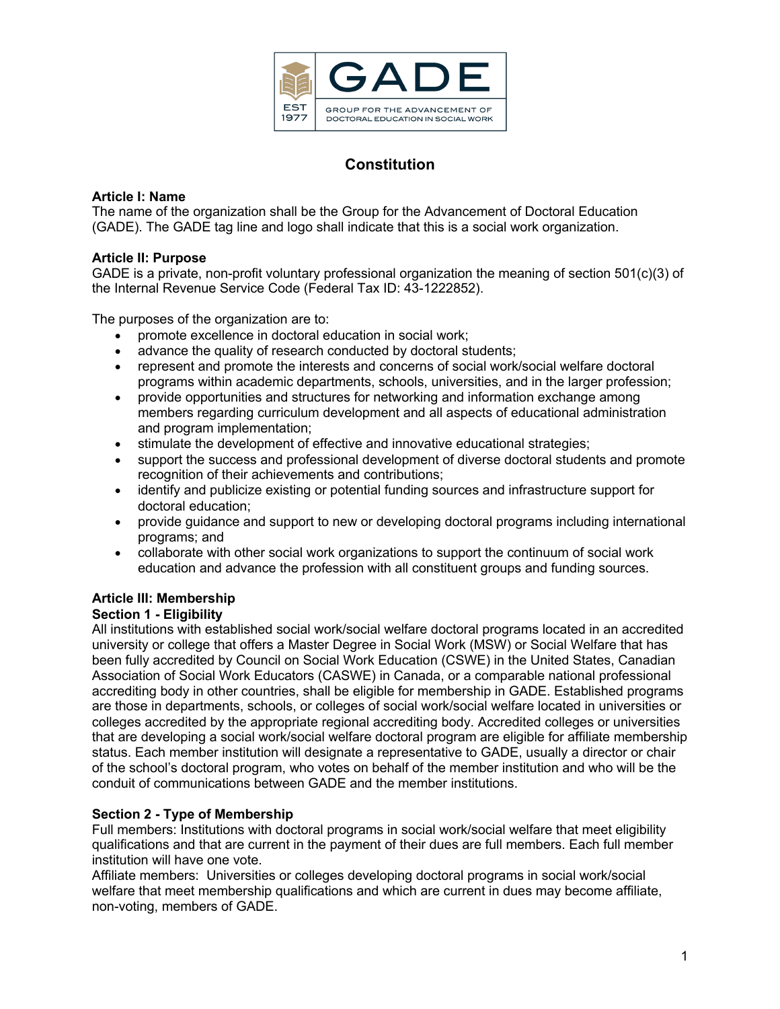

# **Constitution**

# **Article I: Name**

The name of the organization shall be the Group for the Advancement of Doctoral Education (GADE). The GADE tag line and logo shall indicate that this is a social work organization.

# **Article II: Purpose**

GADE is a private, non-profit voluntary professional organization the meaning of section 501(c)(3) of the Internal Revenue Service Code (Federal Tax ID: 43-1222852).

The purposes of the organization are to:

- promote excellence in doctoral education in social work;
- advance the quality of research conducted by doctoral students;
- represent and promote the interests and concerns of social work/social welfare doctoral programs within academic departments, schools, universities, and in the larger profession;
- provide opportunities and structures for networking and information exchange among members regarding curriculum development and all aspects of educational administration and program implementation;
- stimulate the development of effective and innovative educational strategies;
- support the success and professional development of diverse doctoral students and promote recognition of their achievements and contributions;
- identify and publicize existing or potential funding sources and infrastructure support for doctoral education;
- provide guidance and support to new or developing doctoral programs including international programs; and
- collaborate with other social work organizations to support the continuum of social work education and advance the profession with all constituent groups and funding sources.

# **Article III: Membership**

# **Section 1 - Eligibility**

All institutions with established social work/social welfare doctoral programs located in an accredited university or college that offers a Master Degree in Social Work (MSW) or Social Welfare that has been fully accredited by Council on Social Work Education (CSWE) in the United States, Canadian Association of Social Work Educators (CASWE) in Canada, or a comparable national professional accrediting body in other countries, shall be eligible for membership in GADE. Established programs are those in departments, schools, or colleges of social work/social welfare located in universities or colleges accredited by the appropriate regional accrediting body. Accredited colleges or universities that are developing a social work/social welfare doctoral program are eligible for affiliate membership status. Each member institution will designate a representative to GADE, usually a director or chair of the school's doctoral program, who votes on behalf of the member institution and who will be the conduit of communications between GADE and the member institutions.

# **Section 2 - Type of Membership**

Full members: Institutions with doctoral programs in social work/social welfare that meet eligibility qualifications and that are current in the payment of their dues are full members. Each full member institution will have one vote.

Affiliate members: Universities or colleges developing doctoral programs in social work/social welfare that meet membership qualifications and which are current in dues may become affiliate, non-voting, members of GADE.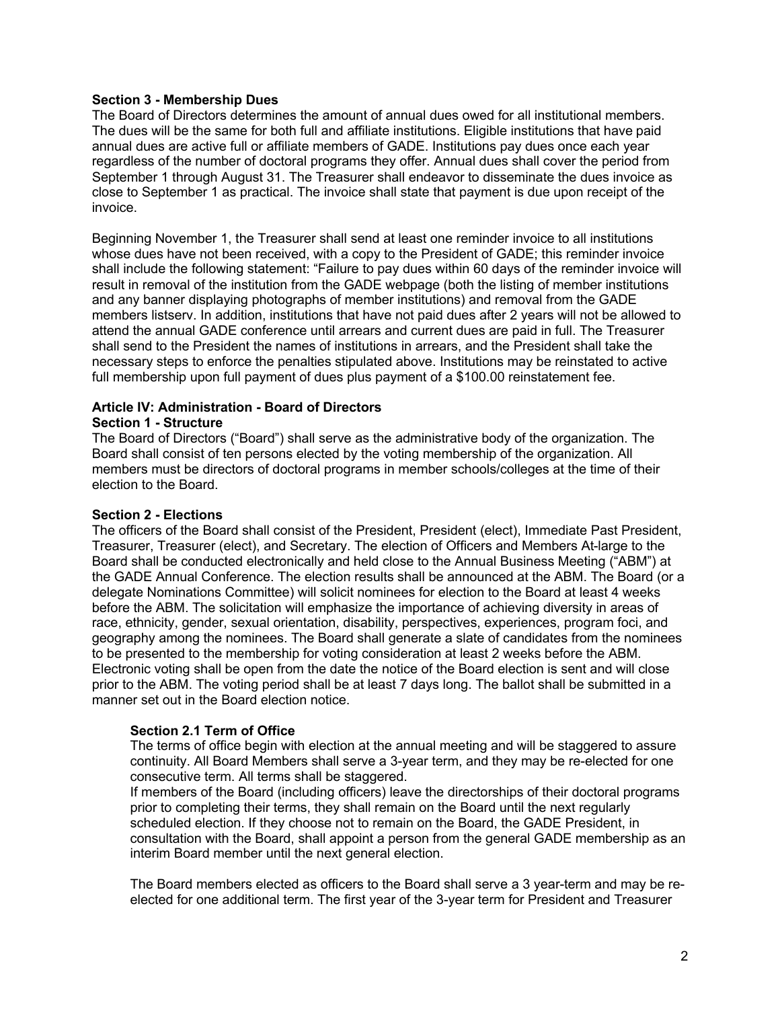### **Section 3 - Membership Dues**

The Board of Directors determines the amount of annual dues owed for all institutional members. The dues will be the same for both full and affiliate institutions. Eligible institutions that have paid annual dues are active full or affiliate members of GADE. Institutions pay dues once each year regardless of the number of doctoral programs they offer. Annual dues shall cover the period from September 1 through August 31. The Treasurer shall endeavor to disseminate the dues invoice as close to September 1 as practical. The invoice shall state that payment is due upon receipt of the invoice.

Beginning November 1, the Treasurer shall send at least one reminder invoice to all institutions whose dues have not been received, with a copy to the President of GADE; this reminder invoice shall include the following statement: "Failure to pay dues within 60 days of the reminder invoice will result in removal of the institution from the GADE webpage (both the listing of member institutions and any banner displaying photographs of member institutions) and removal from the GADE members listserv. In addition, institutions that have not paid dues after 2 years will not be allowed to attend the annual GADE conference until arrears and current dues are paid in full. The Treasurer shall send to the President the names of institutions in arrears, and the President shall take the necessary steps to enforce the penalties stipulated above. Institutions may be reinstated to active full membership upon full payment of dues plus payment of a \$100.00 reinstatement fee.

# **Article IV: Administration - Board of Directors**

### **Section 1 - Structure**

The Board of Directors ("Board") shall serve as the administrative body of the organization. The Board shall consist of ten persons elected by the voting membership of the organization. All members must be directors of doctoral programs in member schools/colleges at the time of their election to the Board.

### **Section 2 - Elections**

The officers of the Board shall consist of the President, President (elect), Immediate Past President, Treasurer, Treasurer (elect), and Secretary. The election of Officers and Members At-large to the Board shall be conducted electronically and held close to the Annual Business Meeting ("ABM") at the GADE Annual Conference. The election results shall be announced at the ABM. The Board (or a delegate Nominations Committee) will solicit nominees for election to the Board at least 4 weeks before the ABM. The solicitation will emphasize the importance of achieving diversity in areas of race, ethnicity, gender, sexual orientation, disability, perspectives, experiences, program foci, and geography among the nominees. The Board shall generate a slate of candidates from the nominees to be presented to the membership for voting consideration at least 2 weeks before the ABM. Electronic voting shall be open from the date the notice of the Board election is sent and will close prior to the ABM. The voting period shall be at least 7 days long. The ballot shall be submitted in a manner set out in the Board election notice.

### **Section 2.1 Term of Office**

The terms of office begin with election at the annual meeting and will be staggered to assure continuity. All Board Members shall serve a 3-year term, and they may be re-elected for one consecutive term. All terms shall be staggered.

If members of the Board (including officers) leave the directorships of their doctoral programs prior to completing their terms, they shall remain on the Board until the next regularly scheduled election. If they choose not to remain on the Board, the GADE President, in consultation with the Board, shall appoint a person from the general GADE membership as an interim Board member until the next general election.

The Board members elected as officers to the Board shall serve a 3 year-term and may be reelected for one additional term. The first year of the 3-year term for President and Treasurer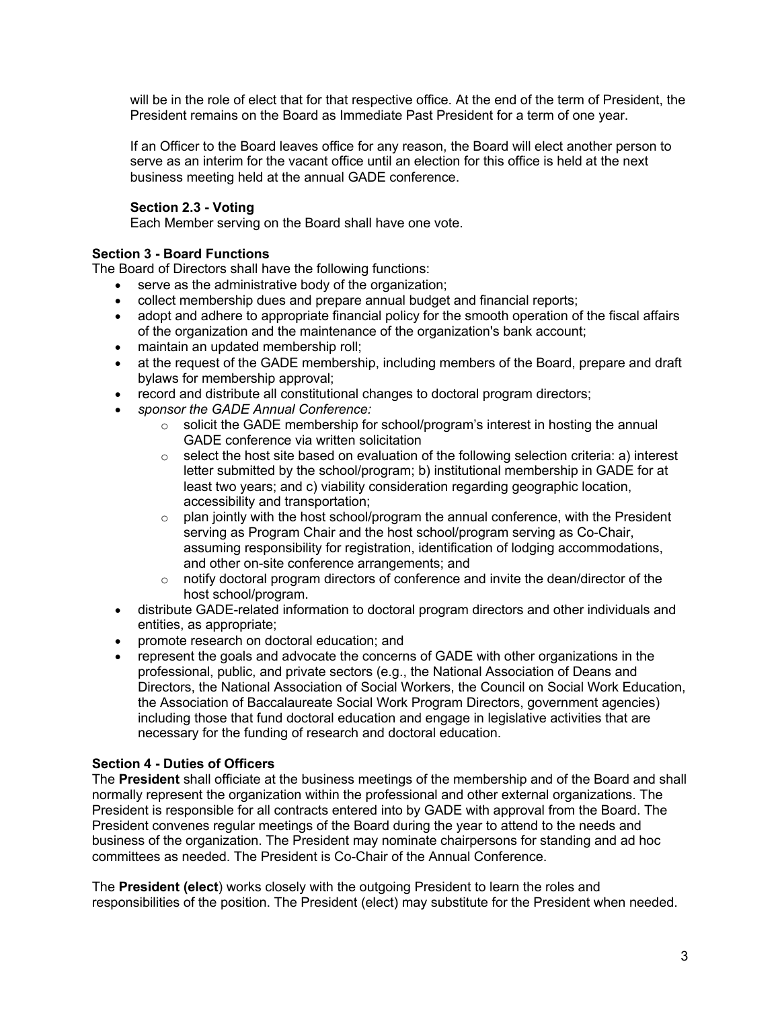will be in the role of elect that for that respective office. At the end of the term of President, the President remains on the Board as Immediate Past President for a term of one year.

If an Officer to the Board leaves office for any reason, the Board will elect another person to serve as an interim for the vacant office until an election for this office is held at the next business meeting held at the annual GADE conference.

# **Section 2.3 - Voting**

Each Member serving on the Board shall have one vote.

# **Section 3 - Board Functions**

The Board of Directors shall have the following functions:

- serve as the administrative body of the organization;
- collect membership dues and prepare annual budget and financial reports;
- adopt and adhere to appropriate financial policy for the smooth operation of the fiscal affairs of the organization and the maintenance of the organization's bank account;
- maintain an updated membership roll;
- at the request of the GADE membership, including members of the Board, prepare and draft bylaws for membership approval;
- record and distribute all constitutional changes to doctoral program directors;
- *sponsor the GADE Annual Conference:*
	- $\circ$  solicit the GADE membership for school/program's interest in hosting the annual GADE conference via written solicitation
	- $\circ$  select the host site based on evaluation of the following selection criteria: a) interest letter submitted by the school/program; b) institutional membership in GADE for at least two years; and c) viability consideration regarding geographic location, accessibility and transportation;
	- $\circ$  plan jointly with the host school/program the annual conference, with the President serving as Program Chair and the host school/program serving as Co-Chair, assuming responsibility for registration, identification of lodging accommodations, and other on-site conference arrangements; and
	- $\circ$  notify doctoral program directors of conference and invite the dean/director of the host school/program.
- distribute GADE-related information to doctoral program directors and other individuals and entities, as appropriate;
- promote research on doctoral education; and
- represent the goals and advocate the concerns of GADE with other organizations in the professional, public, and private sectors (e.g., the National Association of Deans and Directors, the National Association of Social Workers, the Council on Social Work Education, the Association of Baccalaureate Social Work Program Directors, government agencies) including those that fund doctoral education and engage in legislative activities that are necessary for the funding of research and doctoral education.

### **Section 4 - Duties of Officers**

The **President** shall officiate at the business meetings of the membership and of the Board and shall normally represent the organization within the professional and other external organizations. The President is responsible for all contracts entered into by GADE with approval from the Board. The President convenes regular meetings of the Board during the year to attend to the needs and business of the organization. The President may nominate chairpersons for standing and ad hoc committees as needed. The President is Co-Chair of the Annual Conference.

The **President (elect**) works closely with the outgoing President to learn the roles and responsibilities of the position. The President (elect) may substitute for the President when needed.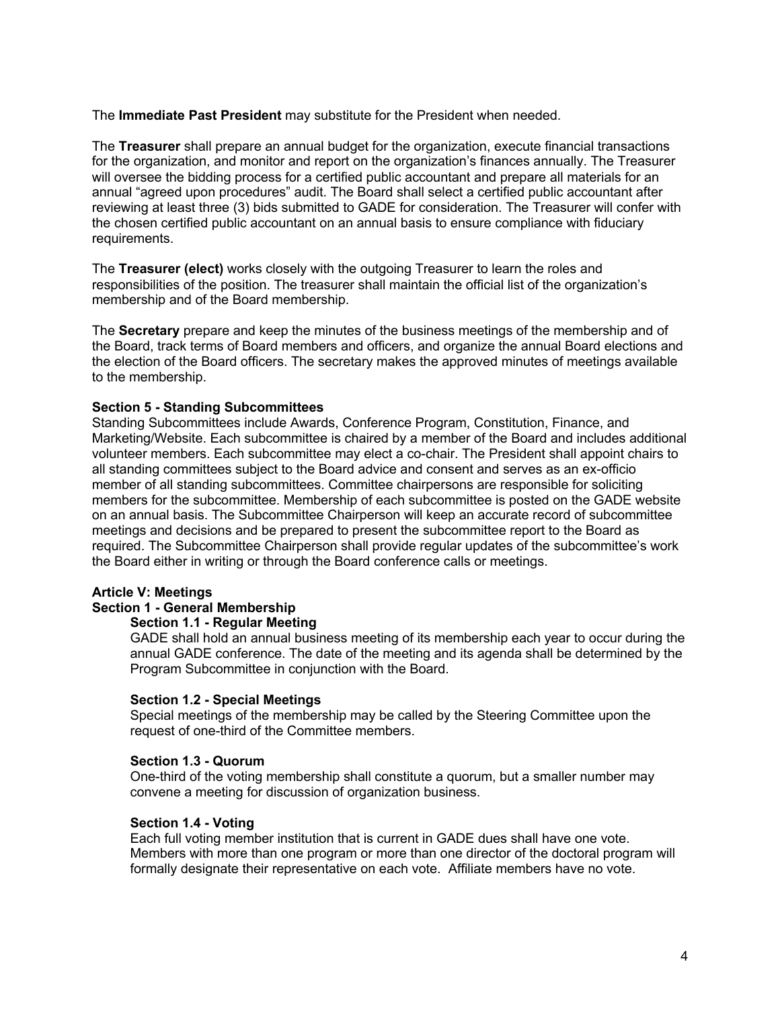The **Immediate Past President** may substitute for the President when needed.

The **Treasurer** shall prepare an annual budget for the organization, execute financial transactions for the organization, and monitor and report on the organization's finances annually. The Treasurer will oversee the bidding process for a certified public accountant and prepare all materials for an annual "agreed upon procedures" audit. The Board shall select a certified public accountant after reviewing at least three (3) bids submitted to GADE for consideration. The Treasurer will confer with the chosen certified public accountant on an annual basis to ensure compliance with fiduciary requirements.

The **Treasurer (elect)** works closely with the outgoing Treasurer to learn the roles and responsibilities of the position. The treasurer shall maintain the official list of the organization's membership and of the Board membership.

The **Secretary** prepare and keep the minutes of the business meetings of the membership and of the Board, track terms of Board members and officers, and organize the annual Board elections and the election of the Board officers. The secretary makes the approved minutes of meetings available to the membership.

### **Section 5 - Standing Subcommittees**

Standing Subcommittees include Awards, Conference Program, Constitution, Finance, and Marketing/Website. Each subcommittee is chaired by a member of the Board and includes additional volunteer members. Each subcommittee may elect a co-chair. The President shall appoint chairs to all standing committees subject to the Board advice and consent and serves as an ex-officio member of all standing subcommittees. Committee chairpersons are responsible for soliciting members for the subcommittee. Membership of each subcommittee is posted on the GADE website on an annual basis. The Subcommittee Chairperson will keep an accurate record of subcommittee meetings and decisions and be prepared to present the subcommittee report to the Board as required. The Subcommittee Chairperson shall provide regular updates of the subcommittee's work the Board either in writing or through the Board conference calls or meetings.

#### **Article V: Meetings**

# **Section 1 - General Membership**

# **Section 1.1 - Regular Meeting**

GADE shall hold an annual business meeting of its membership each year to occur during the annual GADE conference. The date of the meeting and its agenda shall be determined by the Program Subcommittee in conjunction with the Board.

#### **Section 1.2 - Special Meetings**

Special meetings of the membership may be called by the Steering Committee upon the request of one-third of the Committee members.

### **Section 1.3 - Quorum**

One-third of the voting membership shall constitute a quorum, but a smaller number may convene a meeting for discussion of organization business.

#### **Section 1.4 - Voting**

Each full voting member institution that is current in GADE dues shall have one vote. Members with more than one program or more than one director of the doctoral program will formally designate their representative on each vote. Affiliate members have no vote.